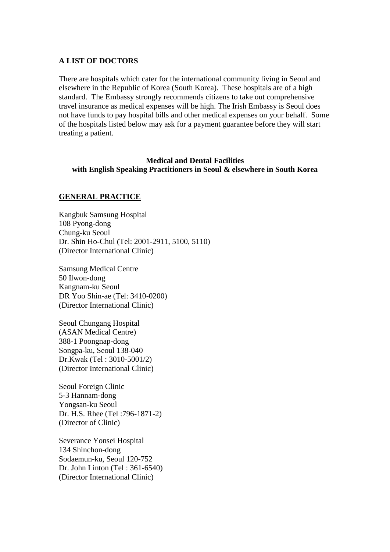### **A LIST OF DOCTORS**

There are hospitals which cater for the international community living in Seoul and elsewhere in the Republic of Korea (South Korea). These hospitals are of a high standard. The Embassy strongly recommends citizens to take out comprehensive travel insurance as medical expenses will be high. The Irish Embassy is Seoul does not have funds to pay hospital bills and other medical expenses on your behalf. Some of the hospitals listed below may ask for a payment guarantee before they will start treating a patient.

# **Medical and Dental Facilities**

**with English Speaking Practitioners in Seoul & elsewhere in South Korea** 

### **GENERAL PRACTICE**

Kangbuk Samsung Hospital 108 Pyong-dong Chung-ku Seoul Dr. Shin Ho-Chul (Tel: 2001-2911, 5100, 5110) (Director International Clinic)

Samsung Medical Centre 50 Ilwon-dong Kangnam-ku Seoul DR Yoo Shin-ae (Tel: 3410-0200) (Director International Clinic)

Seoul Chungang Hospital (ASAN Medical Centre) 388-1 Poongnap-dong Songpa-ku, Seoul 138-040 Dr.Kwak (Tel : 3010-5001/2) (Director International Clinic)

Seoul Foreign Clinic 5-3 Hannam-dong Yongsan-ku Seoul Dr. H.S. Rhee (Tel :796-1871-2) (Director of Clinic)

Severance Yonsei Hospital 134 Shinchon-dong Sodaemun-ku, Seoul 120-752 Dr. John Linton (Tel : 361-6540) (Director International Clinic)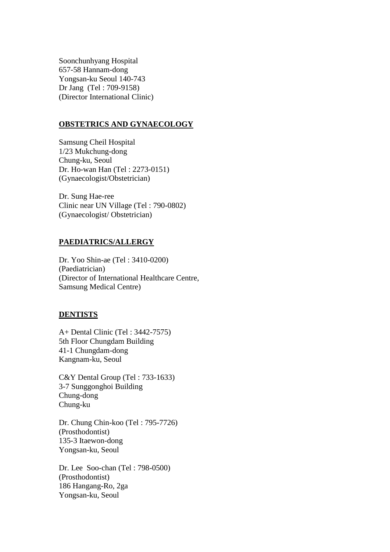Soonchunhyang Hospital 657-58 Hannam-dong Yongsan-ku Seoul 140-743 Dr Jang (Tel : 709-9158) (Director International Clinic)

### **OBSTETRICS AND GYNAECOLOGY**

Samsung Cheil Hospital 1/23 Mukchung-dong Chung-ku, Seoul Dr. Ho-wan Han (Tel : 2273-0151) (Gynaecologist/Obstetrician)

Dr. Sung Hae-ree Clinic near UN Village (Tel : 790-0802) (Gynaecologist/ Obstetrician)

### **PAEDIATRICS/ALLERGY**

Dr. Yoo Shin-ae (Tel : 3410-0200) (Paediatrician) (Director of International Healthcare Centre, Samsung Medical Centre)

#### **DENTISTS**

A+ Dental Clinic (Tel : 3442-7575) 5th Floor Chungdam Building 41-1 Chungdam-dong Kangnam-ku, Seoul

C&Y Dental Group (Tel : 733-1633) 3-7 Sunggonghoi Building Chung-dong Chung-ku

Dr. Chung Chin-koo (Tel : 795-7726) (Prosthodontist) 135-3 Itaewon-dong Yongsan-ku, Seoul

Dr. Lee Soo-chan (Tel : 798-0500) (Prosthodontist) 186 Hangang-Ro, 2ga Yongsan-ku, Seoul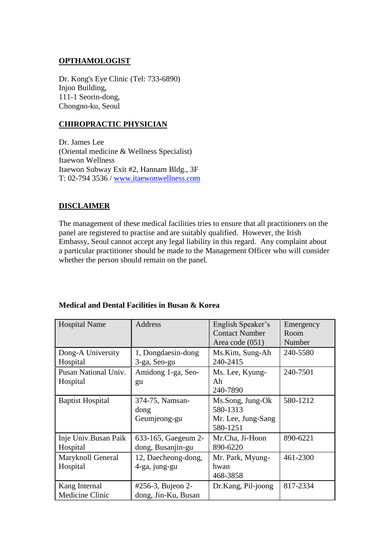## **OPTHAMOLOGIST**

Dr. Kong's Eye Clinic (Tel: 733-6890) Injoo Building, 111-1 Seorin-dong, Chongno-ku, Seoul

# **CHIROPRACTIC PHYSICIAN**

Dr. James Lee (Oriental medicine & Wellness Specialist) Itaewon Wellness Itaewon Subway Exit #2, Hannam Bldg., 3F T: 02-794 3536 / [www.itaewonwellness.com](http://www.itaewonwellness.com/)

# **DISCLAIMER**

The management of these medical facilities tries to ensure that all practitioners on the panel are registered to practise and are suitably qualified. However, the Irish Embassy, Seoul cannot accept any legal liability in this regard. Any complaint about a particular practitioner should be made to the Management Officer who will consider whether the person should remain on the panel.

| <b>Hospital Name</b>    | Address                 | English Speaker's<br><b>Contact Number</b> | Emergency<br>Room |
|-------------------------|-------------------------|--------------------------------------------|-------------------|
|                         |                         | Area code (051)                            | Number            |
| Dong-A University       | 1, Dongdaesin-dong      | Ms.Kim, Sung-Ah                            | 240-5580          |
| Hospital                | 3-ga, Seo-gu            | 240-2415                                   |                   |
| Pusan National Univ.    | Amidong 1-ga, Seo-      | Ms. Lee, Kyung-                            | 240-7501          |
| Hospital                | gu                      | Ah                                         |                   |
|                         |                         | 240-7890                                   |                   |
| <b>Baptist Hospital</b> | 374-75, Namsan-<br>dong | Ms.Song, Jung-Ok<br>580-1313               | 580-1212          |
|                         | Geumjeong-gu            | Mr. Lee, Jung-Sang                         |                   |
|                         |                         | 580-1251                                   |                   |
| Inje Univ.Busan Paik    | 633-165, Gaegeum 2-     | Mr.Cha, Ji-Hoon                            | 890-6221          |
| Hospital                | dong, Busanjin-gu       | 890-6220                                   |                   |
| Maryknoll General       | 12, Daecheong-dong,     | Mr. Park, Myung-                           | 461-2300          |
| Hospital                | 4-ga, jung-gu           | hwan                                       |                   |
|                         |                         | 468-3858                                   |                   |
| Kang Internal           | #256-3, Bujeon 2-       | Dr.Kang, Pil-joong                         | 817-2334          |
| Medicine Clinic         | dong, Jin-Ku, Busan     |                                            |                   |

# **Medical and Dental Facilities in Busan & Korea**